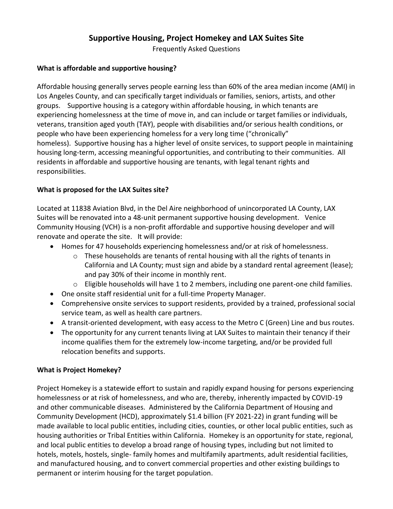# **Supportive Housing, Project Homekey and LAX Suites Site**

Frequently Asked Questions

#### **What is affordable and supportive housing?**

Affordable housing generally serves people earning less than 60% of the area median income (AMI) in Los Angeles County, and can specifically target individuals or families, seniors, artists, and other groups. Supportive housing is a category within affordable housing, in which tenants are experiencing homelessness at the time of move in, and can include or target families or individuals, veterans, transition aged youth (TAY), people with disabilities and/or serious health conditions, or people who have been experiencing homeless for a very long time ("chronically" homeless). Supportive housing has a higher level of onsite services, to support people in maintaining housing long-term, accessing meaningful opportunities, and contributing to their communities. All residents in affordable and supportive housing are tenants, with legal tenant rights and responsibilities.

# **What is proposed for the LAX Suites site?**

Located at 11838 Aviation Blvd, in the Del Aire neighborhood of unincorporated LA County, LAX Suites will be renovated into a 48-unit permanent supportive housing development. Venice Community Housing (VCH) is a non-profit affordable and supportive housing developer and will renovate and operate the site. It will provide:

- Homes for 47 households experiencing homelessness and/or at risk of homelessness.
	- $\circ$  These households are tenants of rental housing with all the rights of tenants in California and LA County; must sign and abide by a standard rental agreement (lease); and pay 30% of their income in monthly rent.
	- o Eligible households will have 1 to 2 members, including one parent-one child families.
- One onsite staff residential unit for a full-time Property Manager.
- Comprehensive onsite services to support residents, provided by a trained, professional social service team, as well as health care partners.
- A transit-oriented development, with easy access to the Metro C (Green) Line and bus routes.
- The opportunity for any current tenants living at LAX Suites to maintain their tenancy if their income qualifies them for the extremely low-income targeting, and/or be provided full relocation benefits and supports.

#### **What is Project Homekey?**

Project Homekey is a statewide effort to sustain and rapidly expand housing for persons experiencing homelessness or at risk of homelessness, and who are, thereby, inherently impacted by COVID-19 and other communicable diseases. Administered by the California Department of Housing and Community Development (HCD), approximately \$1.4 billion (FY 2021-22) in grant funding will be made available to local public entities, including cities, counties, or other local public entities, such as housing authorities or Tribal Entities within California. Homekey is an opportunity for state, regional, and local public entities to develop a broad range of housing types, including but not limited to hotels, motels, hostels, single- family homes and multifamily apartments, adult residential facilities, and manufactured housing, and to convert commercial properties and other existing buildings to permanent or interim housing for the target population.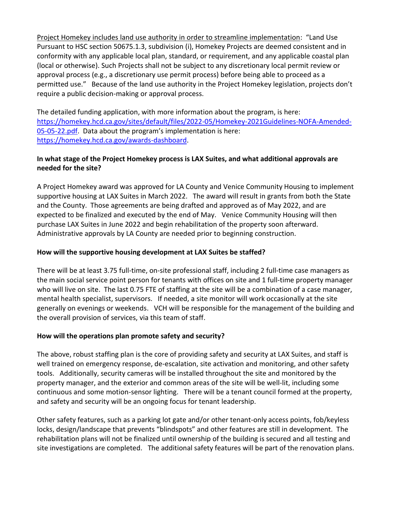Project Homekey includes land use authority in order to streamline implementation: "Land Use Pursuant to HSC section 50675.1.3, subdivision (i), Homekey Projects are deemed consistent and in conformity with any applicable local plan, standard, or requirement, and any applicable coastal plan (local or otherwise). Such Projects shall not be subject to any discretionary local permit review or approval process (e.g., a discretionary use permit process) before being able to proceed as a permitted use." Because of the land use authority in the Project Homekey legislation, projects don't require a public decision-making or approval process.

The detailed funding application, with more information about the program, is here: [https://homekey.hcd.ca.gov/sites/default/files/2022-05/Homekey-2021Guidelines-NOFA-Amended-](https://homekey.hcd.ca.gov/sites/default/files/2022-05/Homekey-2021Guidelines-NOFA-Amended-05-05-22.pdf)[05-05-22.pdf](https://homekey.hcd.ca.gov/sites/default/files/2022-05/Homekey-2021Guidelines-NOFA-Amended-05-05-22.pdf). Data about the program's implementation is here: [https://homekey.hcd.ca.gov/awards-dashboard.](https://homekey.hcd.ca.gov/awards-dashboard)

## **In what stage of the Project Homekey process is LAX Suites, and what additional approvals are needed for the site?**

A Project Homekey award was approved for LA County and Venice Community Housing to implement supportive housing at LAX Suites in March 2022. The award will result in grants from both the State and the County. Those agreements are being drafted and approved as of May 2022, and are expected to be finalized and executed by the end of May. Venice Community Housing will then purchase LAX Suites in June 2022 and begin rehabilitation of the property soon afterward. Administrative approvals by LA County are needed prior to beginning construction.

## **How will the supportive housing development at LAX Suites be staffed?**

There will be at least 3.75 full-time, on-site professional staff, including 2 full-time case managers as the main social service point person for tenants with offices on site and 1 full-time property manager who will live on site. The last 0.75 FTE of staffing at the site will be a combination of a case manager, mental health specialist, supervisors. If needed, a site monitor will work occasionally at the site generally on evenings or weekends. VCH will be responsible for the management of the building and the overall provision of services, via this team of staff.

#### **How will the operations plan promote safety and security?**

The above, robust staffing plan is the core of providing safety and security at LAX Suites, and staff is well trained on emergency response, de-escalation, site activation and monitoring, and other safety tools. Additionally, security cameras will be installed throughout the site and monitored by the property manager, and the exterior and common areas of the site will be well-lit, including some continuous and some motion-sensor lighting. There will be a tenant council formed at the property, and safety and security will be an ongoing focus for tenant leadership.

Other safety features, such as a parking lot gate and/or other tenant-only access points, fob/keyless locks, design/landscape that prevents "blindspots" and other features are still in development. The rehabilitation plans will not be finalized until ownership of the building is secured and all testing and site investigations are completed. The additional safety features will be part of the renovation plans.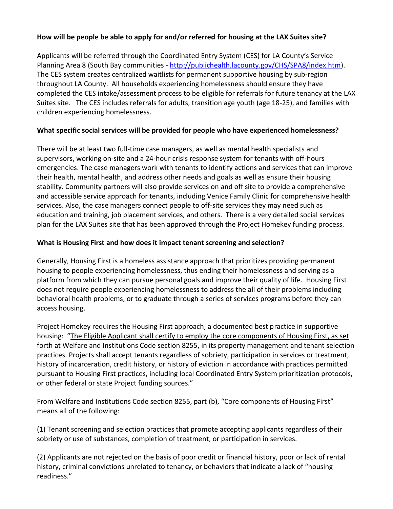## **How will be people be able to apply for and/or referred for housing at the LAX Suites site?**

Applicants will be referred through the Coordinated Entry System (CES) for LA County's Service Planning Area 8 (South Bay communities - [http://publichealth.lacounty.gov/CHS/SPA8/index.htm\)](http://publichealth.lacounty.gov/CHS/SPA8/index.htm). The CES system creates centralized waitlists for permanent supportive housing by sub-region throughout LA County. All households experiencing homelessness should ensure they have completed the CES intake/assessment process to be eligible for referrals for future tenancy at the LAX Suites site. The CES includes referrals for adults, transition age youth (age 18-25), and families with children experiencing homelessness.

# **What specific social services will be provided for people who have experienced homelessness?**

There will be at least two full-time case managers, as well as mental health specialists and supervisors, working on-site and a 24-hour crisis response system for tenants with off-hours emergencies. The case managers work with tenants to identify actions and services that can improve their health, mental health, and address other needs and goals as well as ensure their housing stability. Community partners will also provide services on and off site to provide a comprehensive and accessible service approach for tenants, including Venice Family Clinic for comprehensive health services. Also, the case managers connect people to off-site services they may need such as education and training, job placement services, and others. There is a very detailed social services plan for the LAX Suites site that has been approved through the Project Homekey funding process.

#### **What is Housing First and how does it impact tenant screening and selection?**

Generally, Housing First is a homeless assistance approach that prioritizes providing permanent housing to people experiencing homelessness, thus ending their homelessness and serving as a platform from which they can pursue personal goals and improve their quality of life. Housing First does not require people experiencing homelessness to address the all of their problems including behavioral health problems, or to graduate through a series of services programs before they can access housing.

Project Homekey requires the Housing First approach, a documented best practice in supportive housing: "The Eligible Applicant shall certify to employ the core components of Housing First, as set forth at Welfare and Institutions Code section 8255, in its property management and tenant selection practices. Projects shall accept tenants regardless of sobriety, participation in services or treatment, history of incarceration, credit history, or history of eviction in accordance with practices permitted pursuant to Housing First practices, including local Coordinated Entry System prioritization protocols, or other federal or state Project funding sources."

From Welfare and Institutions Code section 8255, part (b), "Core components of Housing First" means all of the following:

(1) Tenant screening and selection practices that promote accepting applicants regardless of their sobriety or use of substances, completion of treatment, or participation in services.

(2) Applicants are not rejected on the basis of poor credit or financial history, poor or lack of rental history, criminal convictions unrelated to tenancy, or behaviors that indicate a lack of "housing readiness."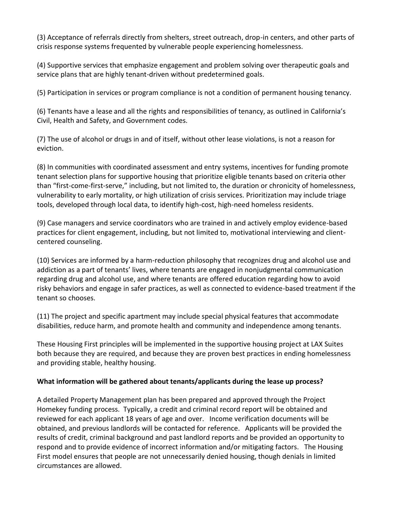(3) Acceptance of referrals directly from shelters, street outreach, drop-in centers, and other parts of crisis response systems frequented by vulnerable people experiencing homelessness.

(4) Supportive services that emphasize engagement and problem solving over therapeutic goals and service plans that are highly tenant-driven without predetermined goals.

(5) Participation in services or program compliance is not a condition of permanent housing tenancy.

(6) Tenants have a lease and all the rights and responsibilities of tenancy, as outlined in California's Civil, Health and Safety, and Government codes.

(7) The use of alcohol or drugs in and of itself, without other lease violations, is not a reason for eviction.

(8) In communities with coordinated assessment and entry systems, incentives for funding promote tenant selection plans for supportive housing that prioritize eligible tenants based on criteria other than "first-come-first-serve," including, but not limited to, the duration or chronicity of homelessness, vulnerability to early mortality, or high utilization of crisis services. Prioritization may include triage tools, developed through local data, to identify high-cost, high-need homeless residents.

(9) Case managers and service coordinators who are trained in and actively employ evidence-based practices for client engagement, including, but not limited to, motivational interviewing and clientcentered counseling.

(10) Services are informed by a harm-reduction philosophy that recognizes drug and alcohol use and addiction as a part of tenants' lives, where tenants are engaged in nonjudgmental communication regarding drug and alcohol use, and where tenants are offered education regarding how to avoid risky behaviors and engage in safer practices, as well as connected to evidence-based treatment if the tenant so chooses.

(11) The project and specific apartment may include special physical features that accommodate disabilities, reduce harm, and promote health and community and independence among tenants.

These Housing First principles will be implemented in the supportive housing project at LAX Suites both because they are required, and because they are proven best practices in ending homelessness and providing stable, healthy housing.

#### **What information will be gathered about tenants/applicants during the lease up process?**

A detailed Property Management plan has been prepared and approved through the Project Homekey funding process. Typically, a credit and criminal record report will be obtained and reviewed for each applicant 18 years of age and over. Income verification documents will be obtained, and previous landlords will be contacted for reference. Applicants will be provided the results of credit, criminal background and past landlord reports and be provided an opportunity to respond and to provide evidence of incorrect information and/or mitigating factors. The Housing First model ensures that people are not unnecessarily denied housing, though denials in limited circumstances are allowed.